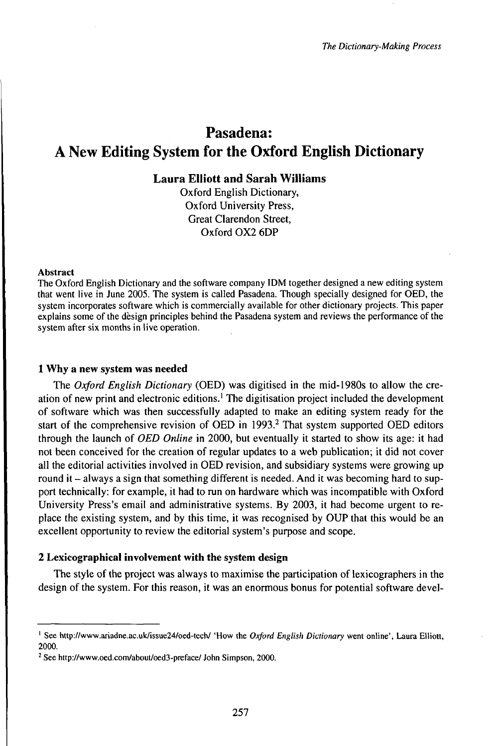# Pasadena: A New Editing System for the Oxford English Dictionary

# **Laura Elliott and Sarah Williams**

Oxford English Dictionary, Oxford University Press, Great Clarendon Street, Oxford 0X2 6DP

#### Abstract

The Oxford English Dictionary and the software company IDM together designed a new editing system that went live in June 2005. The system is called Pasadena. Though specially designed for OED, the system incorporates software which is commercially available for other dictionary projects. This paper explains some of the dèsign principles behind the Pasadena system and reviews the performance of the system after six months in live operation.

## <sup>1</sup> Why a new system was needed

The *Oxford English Dictionary* (OED) was digitised in the mid-1980s to allow the creation of new print and electronic editions.<sup>1</sup> The digitisation project included the development of software which was then successfully adapted to make an editing system ready for the start of the comprehensive revision of OED in 1993.<sup>2</sup> That system supported OED editors through the launch of *OED Online* in 2000, but eventually it started to show its age: it had not been conceived for the creation of regular updates to a web publication; it did not cover all the editorial activities involved in OED revision, and subsidiary systems were growing up round it – always a sign that something different is needed. And it was becoming hard to support technically: for example, it had to run on hardware which was incompatible with Oxford University Press's email and administrative systems. By 2003, it had become urgent to replace the existing system, and by this time, it was recognised by OUP that this would be an excellent opportunity to review the editorial system's purpose and scope.

## 2 Lexicographical involvement with the system design

The style of the project was always to maximise the participation of lexicographers in the design of the system. For this reason, it was an enormous bonus for potential software devel-

<sup>1</sup> See http://www.ariadne.ac.uk/issue24/oed-tech/ 'How the *Oxford English Dictionary* went online', Laura Elliott, 2000.

<sup>2</sup> See http://www.oed.com/about/oed3-preface/ John Simpson, 2000.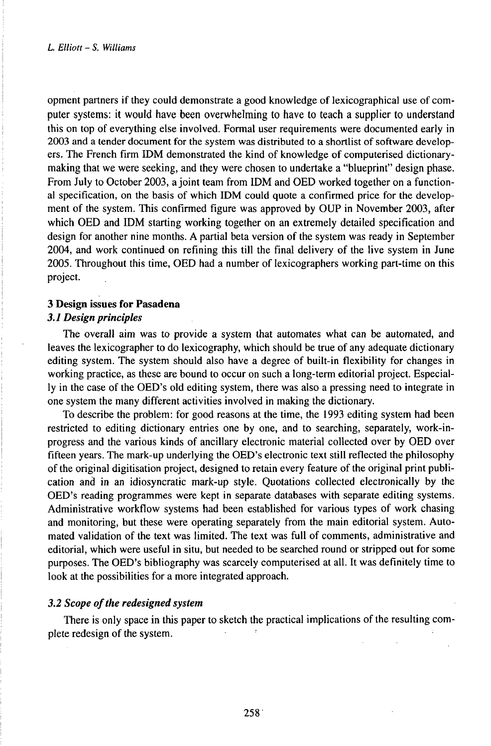opment partners if they could demonstrate a good knowledge of lexicographical use of computer systems: it would have been overwhelming to have to teach a supplier to understand this on top of everything else involved. Formal user requirements were documented early in 2003 and a tender document for the system was distributed to a shortlist of software developers. The French firm IDM demonstrated the kind of knowledge of computerised dictionarymaking that we were seeking, and they were chosen to undertake a "blueprint" design phase. From July to October 2003, a joint team from IDM and OED worked together on a functional specification, on the basis of which IDM could quote a confirmed price for the development of the system. This confirmed figure was approved by OUP in November 2003, after which OED and IDM starting working together on an extremely detailed specification and design for another nine months. A partial beta version of the system was ready in September 2004, and work continued on refining this till the final delivery of the live system in June 2005. Throughout this time, OED had a number of lexicographers working part-time on this project.

### **3 Design issues for Pasadena**

#### *3.1 Design principles*

The overall aim was to provide a system that automates what can be automated, and leaves the lexicographer to do lexicography, which should be true of any adequate dictionary editing system. The system should also have a degree of built-in flexibility for changes in working practice, as these are bound to occur on such a long-term editorial project. Especially in the case of the OED's old editing system, there was also a pressing need to integrate in one system the many different activities involved in making the dictionary.

To describe the problem: for good reasons at the time, the 1993 editing system had been restricted to editing dictionary entries one by one, and to searching, separately, work-inprogress and the various kinds of ancillary electronic material collected over by OED over fifteen years. The mark-up underlying the OED's electronic text still reflected the philosophy of the original digitisation project, designed to retain every feature of the original print publication and in an idiosyncratic mark-up style. Quotations collected electronically by the OED's reading programmes were kept in separate databases with separate editing systems. Administrative workflow systems had been established for various types of work chasing and monitoring, but these were operating separately from the main editorial system. Automated validation of the text was limited. The text was full of comments, administrative and editorial, which were useful in situ, but needed to be searched round or stripped out for some purposes. The OED's bibliography was scarcely computerised at all. It was definitely time to look at the possibilities for a more integrated approach.

## *3.2 Scope ofthe redesigned system*

There is only space in this paper to sketch the practical implications of the resulting complete redesign of the system.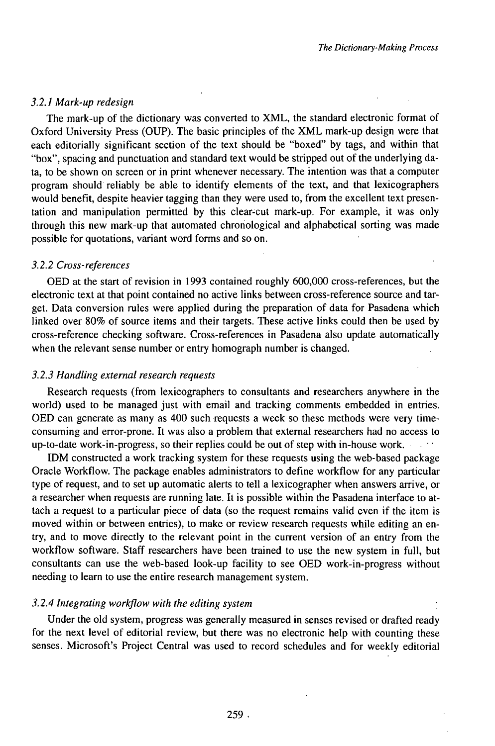### *3.2.1Mark-upredesign*

The mark-up of the dictionary was converted to XML, the standard electronic format of Oxford University Press (OUP). The basic principles of the XML mark-up design were that each editorially significant section of the text should be "boxed" by tags, and within that "box", spacing and punctuation and standard text would be stripped out of the underlying data, to be shown on screen or in print whenever necessary. The intention was that a computer program should reliably be able to identify elements of the text, and that lexicographers would benefit, despite heavier tagging than they were used to, from the excellent text presentation and manipulation permitted by this clear-cut mark-up. For example, it was only through this new mark-up that automated chronological and alphabetical sorting was made possible for quotations, variant word forms and so on.

#### *3.2.2 Cross-references*

OED at the start of revision in 1993 contained roughly 600,000 cross-references, but the electronic text at that point contained no active links between cross-reference source and target. Data conversion rules were applied during the preparation of data for Pasadena which linked over 80% of source items and their targets. These active links could then be used by cross-reference checking software. Cross-references in Pasadena also update automatically when the relevant sense number or entry homograph number is changed.

## *3.2.3 Handling external research requests*

Research requests (from lexicographers to consultants and researchers anywhere in the world) used to be managed just with email and tracking comments embedded in entries. OED can generate as many as 400 such requests a week so these methods were very timeconsuming and error-prone. It was also a problem that external researchers had no access to up-to-date work-in-progress, so their replies could be out of step with in-house work.

IDM constructed a work tracking system for these requests using the web-based package Oracle Workflow. The package enables administrators to define workflow for any particular type of request, and to set up automatic alerts to tell a lexicographer when answers arrive, or a researcher when requests are running late. It is possible within the Pasadena interface to attach a request to a particular piece of data (so the request remains valid even if the item is moved within or between entries), to make or review research requests while editing an entry, and to move directly to the relevant point in the current version of an entry from the workflow software. Staff researchers have been trained to use the new system in full, but consultants can use the web-based look-up facility to see OED work-in-progress without needing to learn to use the entire research management system.

## *3.2.4 Integrating workflow with the editing system*

Under the old system, progress was generally measured in senses revised or drafted ready for the next level of editorial review, but there was no electronic help with counting these senses. Microsoft's Project Central was used to record schedules and for weekly editorial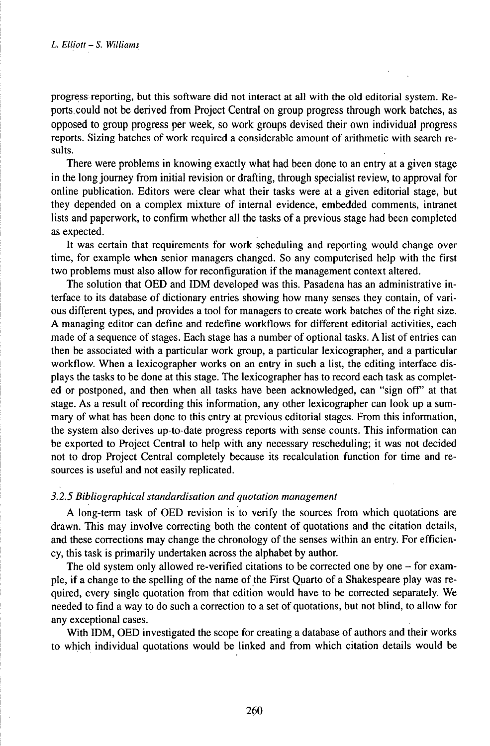progressreporting, but this software did not interact at all with the old editorial system. Reports.could not be derived from Project Central on group progress through work batches, as opposed to group progress per week, so work groups devised their own individual progress reports. Sizing batches of work required a considerable amount of arithmetic with search results.

There were problems in knowing exactly what had been done to an entry at a given stage in the long journey from initial revision or drafting, through specialist review, to approval for online publication. Editors were clear what their tasks were at a given editorial stage, but they depended on a complex mixture of internal evidence, embedded comments, intranet lists and paperwork, to confirm whether all the tasks of a previous stage had been completed as expected.

It was certain that requirements for work scheduling and reporting would change over time, for example when senior managers changed. So any computerised help with the first two problems must also allow for reconfiguration if the management context altered.

The solution that OED and IDM developed was this. Pasadena has an administrative interface to its database of dictionary entries showing how many senses they contain, of various different types, and provides a tool for managers to create work batches of the right size. A managing editor can define and redefine workflows for different editorial activities, each made of a sequence of stages. Each stage has a number of optional tasks. A list of entries can then be associated with a particular work group, a particular lexicographer, and a particular workflow. When a lexicographer works on an entry in such a list, the editing interface displays the tasks to be done at this stage. The lexicographer has to record each task as completed or postponed, and then when all tasks have been acknowledged, can "sign off" at that stage. As a result of recording this information, any other lexicographer can look up a summary of what has been done to this entry at previous editorial stages. From this information, the system also derives up-to-date progress reports with sense counts. This information can be exported to Project Central to help with any necessary rescheduling; it was not decided not to drop Project Central completely because its recalculation function for time and resources is useful and not easily replicated.

#### *3.2.5 Bibliographical standardisation and quotation management*

A long-term task of OED revision is to verify the sources from which quotations are drawn. This may involve correcting both the content of quotations and the citation details, and these corrections may change the chronology of the senses within an entry. For efficiency, this task is primarily undertaken across the alphabet by author.

The old system only allowed re-verified citations to be corrected one by one – for example, if a change to the spelling of the name of the First Quarto of a Shakespeare play was required, every single quotation from that edition would have to be corrected separately. We needed to find a way to do such a correction to a set of quotations, but not blind, to allow for any exceptional cases.

With IDM, OED investigated the scope for creating a database of authors and their works to which individual quotations would be linked and from which citation details would be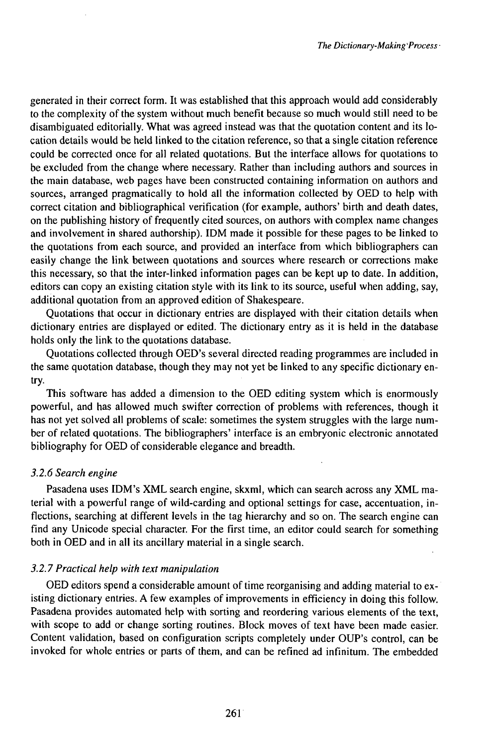generated in their correct form. It was established that this approach would add considerably to the complexity of the system without much benefit because so much would still need to be disambiguated editorially. What was agreed instead was that the quotation content and its location details would be held linked to the citation reference, so that a single citation reference could be corrected once for all related quotations. But the interface allows for quotations to be excluded from the change where necessary. Rather than including authors and sources in the main database, web pages have been constructed containing information on authors and sources, arranged pragmatically to hold all the information collected by OED to help with correct citation and bibliographical verification (for example, authors' birth and death dates, on the publishing history of frequently cited sources, on authors with complex name changes and involvement in shared authorship). IDM made it possible for these pages to be linked to the quotations from each source, and provided an interface from which bibliographers can easily change the link between quotations and sources where research or corrections make this necessary, so that the inter-linked information pages can be kept up to date. In addition, editors can copy an existing citation style with its link to its source, useful when adding, say, additional quotation from an approved edition of Shakespeare.

Quotations that occur in dictionary entries are displayed with their citation details when dictionary entries are displayed or edited. The dictionary entry as it is held in the database holds only the link to the quotations database.

Quotations collected through OED's several directed reading programmes are included in the same quotation database, though they may not yet be linked to any specific dictionary entry.

This software has added a dimension to the OED editing system which is enormously powerful, and has allowed much swifter correction of problems with references, though it has not yet solved all problems of scale: sometimes the system struggles with the large number of related quotations. The bibliographers' interface is an embryonic electronic annotated bibliography for OED of considerable elegance and breadth.

# *3.2.6 Search engine*

Pasadena uses IDM's XML search engine, skxml, which can search across any XML material with a powerful range of wild-carding and optional settings for case, accentuation, inflections, searching at different levels in the tag hierarchy and so on. The search engine can find any Unicode special character. For the first time, an editor could search for something both in OED and in all its ancillary material in a single search.

# *3.2.7Practical help with text manipulation*

OED editors spend a considerable amount of time reorganising and adding material to existing dictionary entries. A few examples of improvements in efficiency in doing this follow. Pasadena provides automated help with sorting and reordering various elements of the text, with scope to add or change sorting routines. Block moves of text have been made easier. Content validation, based on configuration scripts completely under OUP's control, can be invoked for whole entries or parts of them, and can be refined ad infinitum. The embedded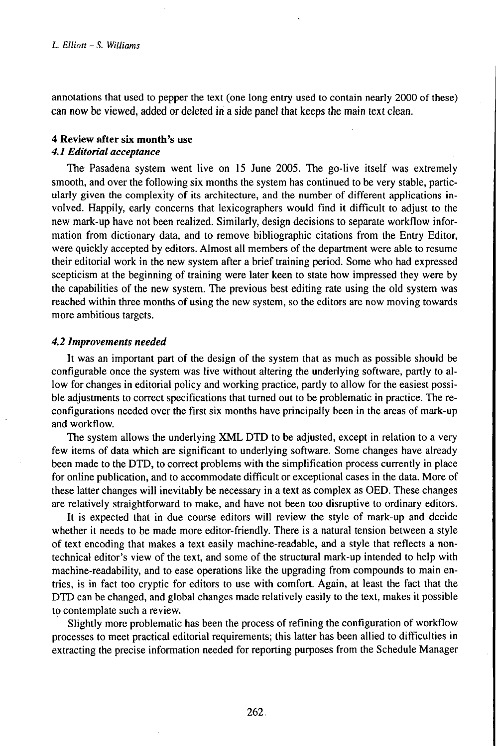annotations that used to pepper the text (one long entry used to contain nearly 2000 of these) can now be viewed, added or deleted in a side panel that keeps the main text clean.

## **4 Review after six month's use** *4.1Editorialacceptance*

The Pasadena system went live on 15 June 2005. The go-live itself was extremely smooth, and over the following six months the system has continued to be very stable, particularly given the complexity of its architecture, and the number of different applications involved. Happily, early concerns that lexicographers would find it difficult to adjust to the new mark-up have not been realized. Similarly, design decisions to separate workflow information from dictionary data, and to remove bibliographic citations from the Entry Editor, were quickly accepted by editors. Almost all members of the department were able to resume their editorial work in the new system after a brief training period. Some who had expressed scepticism at the beginning of training were later keen to state how impressed they were by the capabilities of the new system. The previous best editing rate using the old system was reached within three months of using the new system, so the editors are now moving towards more ambitious targets.

#### *4.2 Improvements needed*

It was an important part of the design of the system that as much as possible should be configurable once the system was live without altering the underlying software, partly to allow for changes in editorial policy and working practice, partly to allow for the easiest possible adjustments to correct specifications that turned out to be problematic in practice. The reconfigurations needed over the first six months have principally been in the areas of mark-up and workflow.

The system allows the underlying XML DTD to be adjusted, except in relation to a very few items of data which are significant to underlying software. Some changes have already been made to the DTD, to correct problems with the simplification process currently in place for online publication, and to accommodate difficult or exceptional cases in the data. More of these latter changes will inevitably be necessary in a text as complex as OED. These changes are relatively straightforward to make, and have not been too disruptive to ordinary editors.

It is expected that in due course editors will review the style of mark-up and decide whether it needs to be made more editor-friendly. There is a natural tension between a style of text encoding that makes a text easily machine-readable, and a style that reflects a nontechnical editor's view of the text, and some of the structural mark-up intended to help with machine-readability, and to ease operations like the upgrading from compounds to main entries, is in fact too cryptic for editors to use with comfort. Again, at least the fact that the DTD can be changed, and global changes made relatively easily to the text, makes it possible to contemplate such a review.

Slightly more problematic has been the process of refining the configuration of workflow processes to meet practical editorial requirements; this latter has been allied to difficulties in extracting the precise information needed for reporting purposes from the Schedule Manager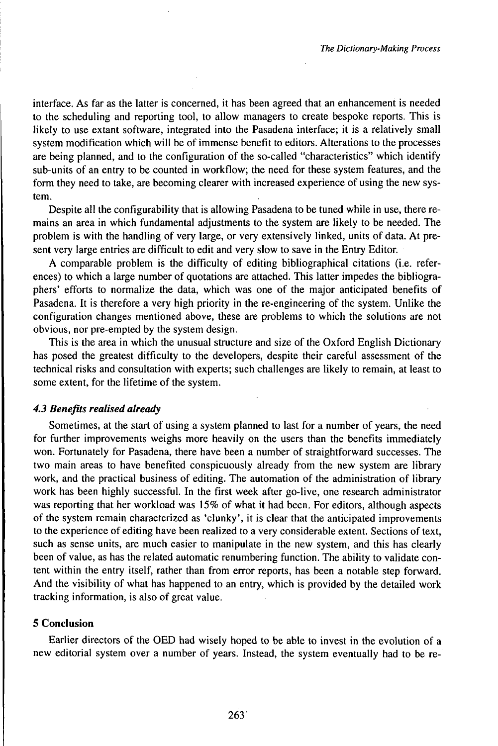interface. As far as the latter is concerned, it has been agreed that an enhancement is needed to the scheduling and reporting tool, to allow managers to create bespoke reports. This is likely to use extant software, integrated into the Pasadena interface; it is a relatively small system modification which will be of immense benefit to editors. Alterations to the processes are being planned, and to the configuration of the so-called "characteristics" which identify sub-units of an entry to be counted in workflow; the need for these system features, and the form they need to take, are becoming clearer with increased experience of using the new system.

Despite all the configurability that is allowing Pasadena to be tuned while in use, there remains an area in which fundamental adjustments to the system are likely to be needed. The problem is with the handling of very large, or very extensively linked, units of data. At present very large entries are difficult to edit and very slow to save in the Entry Editor.

A comparable problem is the difficulty of editing bibliographical citations (i.e. references) to which a large number of quotations are attached. This latter impedes the bibliographers' efforts to normalize the data, which was one of the major anticipated benefits of Pasadena. It is therefore a very high priority in the re-engineering of the system. Unlike the configuration changes mentioned above, these are problems to which the solutions are not obvious, nor pre-empted by the system design.

This is the area in which the unusual structure and size of the Oxford English Dictionary has posed the greatest difficulty to the developers, despite their careful assessment of the technical risks and consultation with experts; such challenges are likely to remain, at least to some extent, for the lifetime of the system.

## *4.3 Benefits realised already*

Sometimes, at the start of using a system planned to last for a number of years, the need for further improvements weighs more heavily on the users than the benefits immediately won. Fortunately for Pasadena, there have been a number of straightforward successes. The two main areas to have benefited conspicuously already from the new system are library work, and the practical business of editing. The automation of the administration of library work has been highly successful. In the first week after go-live, one research administrator was reporting that her workload was 15% of what it had been. For editors, although aspects of the system remain characterized as 'clunky', it is clear that the anticipated improvements to the experience of editing have been realized to a very considerable extent. Sections of text, such as sense units, are much easier to manipulate in the new system, and this has clearly been of value, as has the related automatic renumbering function. The ability to validate content within the entry itself, rather than from error reports, has been a notable step forward. And the visibility of what has happened to an entry, which is provided by the detailed work tracking information, is also of great value.

## **5 Conclusion**

Earlier directors of the OED had wisely hoped to be able to invest in the evolution of a new editorial system over a number of years. Instead, the system eventually had to be re-